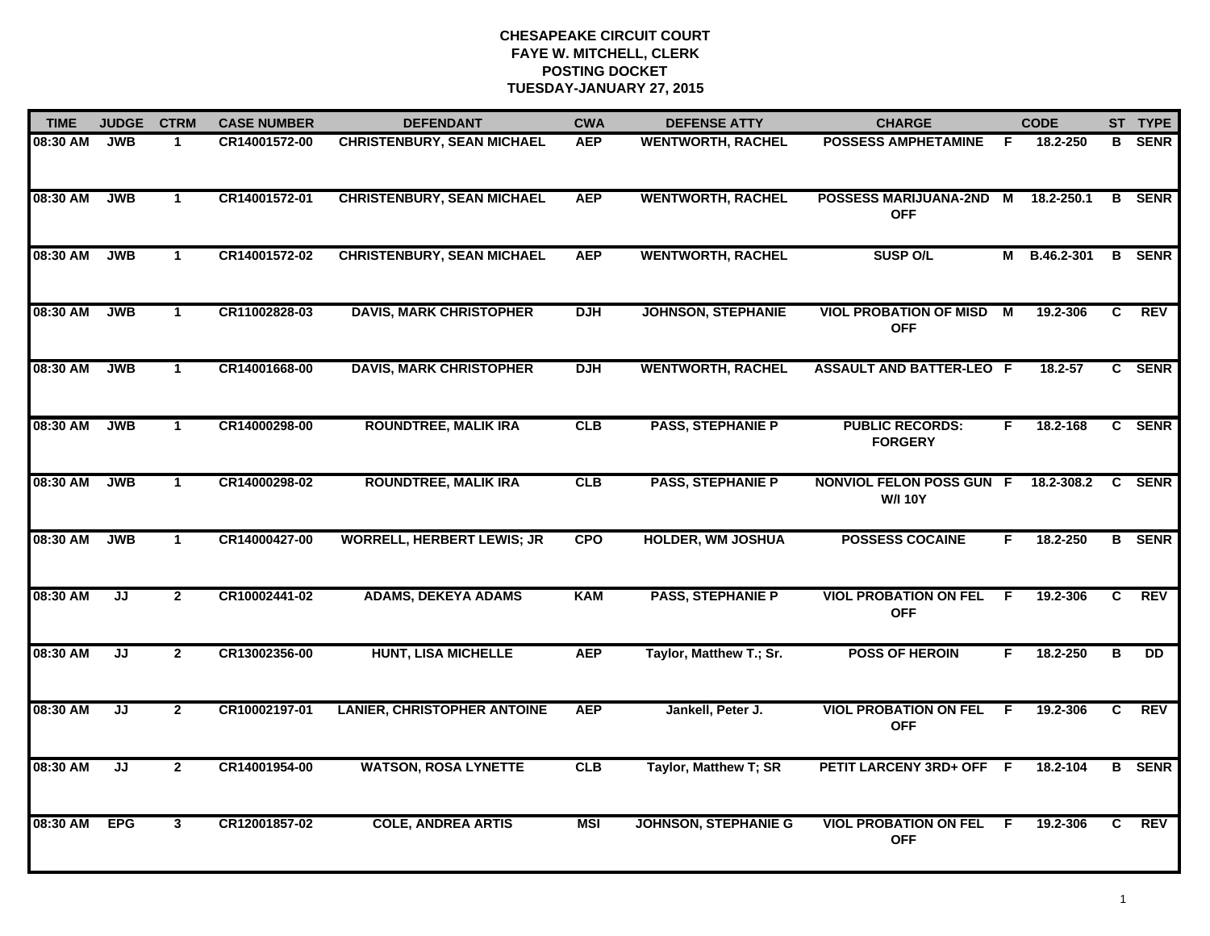| <b>TIME</b> | <b>JUDGE</b>     | <b>CTRM</b>    | <b>CASE NUMBER</b> | <b>DEFENDANT</b>                   | <b>CWA</b> | <b>DEFENSE ATTY</b>         | <b>CHARGE</b>                                     | <b>CODE</b>    |            |    | ST TYPE       |
|-------------|------------------|----------------|--------------------|------------------------------------|------------|-----------------------------|---------------------------------------------------|----------------|------------|----|---------------|
| 08:30 AM    | <b>JWB</b><br>-1 |                | CR14001572-00      | <b>CHRISTENBURY, SEAN MICHAEL</b>  | <b>AEP</b> | <b>WENTWORTH, RACHEL</b>    | <b>POSSESS AMPHETAMINE</b>                        | F.             | 18.2-250   | B. | <b>SENR</b>   |
| 08:30 AM    | <b>JWB</b>       | $\mathbf{1}$   | CR14001572-01      | <b>CHRISTENBURY, SEAN MICHAEL</b>  | <b>AEP</b> | <b>WENTWORTH, RACHEL</b>    | <b>POSSESS MARIJUANA-2ND</b><br><b>OFF</b>        | $\overline{M}$ | 18.2-250.1 |    | <b>B</b> SENR |
| 08:30 AM    | <b>JWB</b>       | $\mathbf{1}$   | CR14001572-02      | <b>CHRISTENBURY, SEAN MICHAEL</b>  | <b>AEP</b> | <b>WENTWORTH, RACHEL</b>    | <b>SUSP O/L</b>                                   | M              | B.46.2-301 |    | <b>B</b> SENR |
| 08:30 AM    | <b>JWB</b>       | $\mathbf{1}$   | CR11002828-03      | <b>DAVIS, MARK CHRISTOPHER</b>     | <b>DJH</b> | <b>JOHNSON, STEPHANIE</b>   | <b>VIOL PROBATION OF MISD</b><br><b>OFF</b>       | M              | 19.2-306   | C  | <b>REV</b>    |
| 08:30 AM    | <b>JWB</b>       | $\mathbf{1}$   | CR14001668-00      | <b>DAVIS, MARK CHRISTOPHER</b>     | <b>DJH</b> | <b>WENTWORTH, RACHEL</b>    | <b>ASSAULT AND BATTER-LEO F</b>                   |                | 18.2-57    |    | C SENR        |
| 08:30 AM    | <b>JWB</b>       | $\mathbf{1}$   | CR14000298-00      | <b>ROUNDTREE, MALIK IRA</b>        | CLB        | <b>PASS, STEPHANIE P</b>    | <b>PUBLIC RECORDS:</b><br><b>FORGERY</b>          | F.             | 18.2-168   |    | C SENR        |
| 08:30 AM    | <b>JWB</b>       | $\mathbf{1}$   | CR14000298-02      | <b>ROUNDTREE, MALIK IRA</b>        | CLB        | <b>PASS, STEPHANIE P</b>    | <b>NONVIOL FELON POSS GUN F</b><br><b>W/I 10Y</b> |                | 18.2-308.2 |    | C SENR        |
| 08:30 AM    | <b>JWB</b>       | $\mathbf 1$    | CR14000427-00      | <b>WORRELL, HERBERT LEWIS; JR</b>  | <b>CPO</b> | <b>HOLDER, WM JOSHUA</b>    | <b>POSSESS COCAINE</b>                            | F.             | 18.2-250   |    | <b>B</b> SENR |
| 08:30 AM    | JJ               | $\mathbf{2}$   | CR10002441-02      | <b>ADAMS, DEKEYA ADAMS</b>         | <b>KAM</b> | <b>PASS, STEPHANIE P</b>    | <b>VIOL PROBATION ON FEL</b><br><b>OFF</b>        | E              | 19.2-306   | C  | <b>REV</b>    |
| 08:30 AM    | JJ               | $\mathbf{2}$   | CR13002356-00      | <b>HUNT, LISA MICHELLE</b>         | <b>AEP</b> | Taylor, Matthew T.; Sr.     | <b>POSS OF HEROIN</b>                             | F              | 18.2-250   | В  | <b>DD</b>     |
| 08:30 AM    | JJ               | $\mathbf{2}$   | CR10002197-01      | <b>LANIER, CHRISTOPHER ANTOINE</b> | <b>AEP</b> | Jankell, Peter J.           | <b>VIOL PROBATION ON FEL</b><br><b>OFF</b>        | - F            | 19.2-306   | C  | <b>REV</b>    |
| 08:30 AM    | JJ               | $\overline{2}$ | CR14001954-00      | <b>WATSON, ROSA LYNETTE</b>        | CLB        | Taylor, Matthew T; SR       | PETIT LARCENY 3RD+ OFF                            | -F             | 18.2-104   |    | <b>B</b> SENR |
| 08:30 AM    | <b>EPG</b>       | 3              | CR12001857-02      | <b>COLE, ANDREA ARTIS</b>          | <b>MSI</b> | <b>JOHNSON, STEPHANIE G</b> | <b>VIOL PROBATION ON FEL</b><br><b>OFF</b>        | -F             | 19.2-306   | C  | <b>REV</b>    |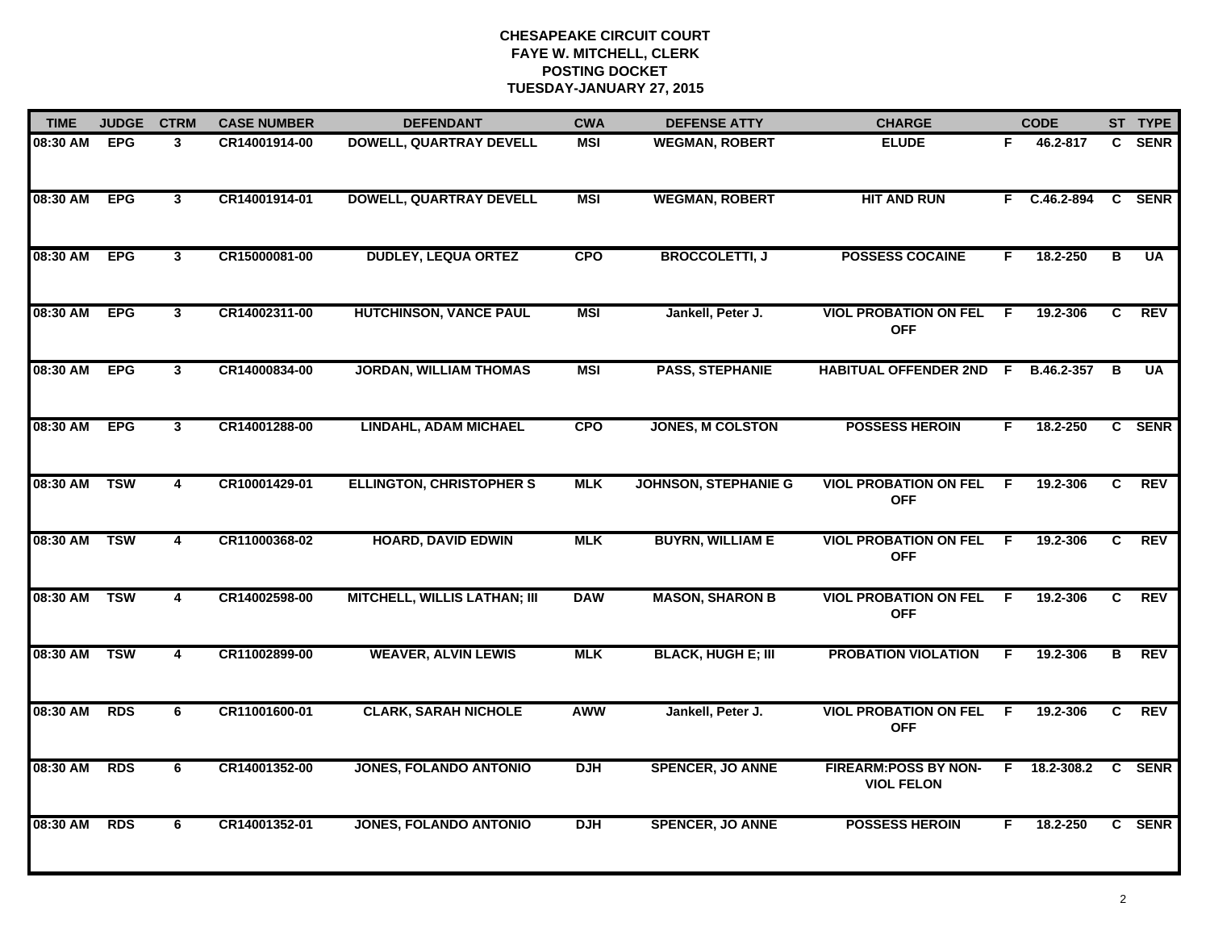| <b>TIME</b> | <b>JUDGE</b> | <b>CTRM</b>    | <b>CASE NUMBER</b> | <b>DEFENDANT</b>                    | <b>CWA</b> | <b>DEFENSE ATTY</b>         | <b>CHARGE</b>                                    |     | <b>CODE</b>  |                | ST TYPE    |
|-------------|--------------|----------------|--------------------|-------------------------------------|------------|-----------------------------|--------------------------------------------------|-----|--------------|----------------|------------|
| 08:30 AM    | <b>EPG</b>   | $\mathbf{3}$   | CR14001914-00      | <b>DOWELL, QUARTRAY DEVELL</b>      | <b>MSI</b> | <b>WEGMAN, ROBERT</b>       | <b>ELUDE</b>                                     | F.  | 46.2-817     |                | C SENR     |
| 08:30 AM    | <b>EPG</b>   | $\mathbf{3}$   | CR14001914-01      | <b>DOWELL, QUARTRAY DEVELL</b>      | <b>MSI</b> | <b>WEGMAN, ROBERT</b>       | <b>HIT AND RUN</b>                               |     | F C.46.2-894 |                | C SENR     |
| 08:30 AM    | <b>EPG</b>   | $\overline{3}$ | CR15000081-00      | <b>DUDLEY, LEQUA ORTEZ</b>          | <b>CPO</b> | <b>BROCCOLETTI, J</b>       | <b>POSSESS COCAINE</b>                           | F.  | 18.2-250     | В              | <b>UA</b>  |
| 08:30 AM    | <b>EPG</b>   | $\mathbf{3}$   | CR14002311-00      | <b>HUTCHINSON, VANCE PAUL</b>       | <b>MSI</b> | Jankell, Peter J.           | <b>VIOL PROBATION ON FEL</b><br><b>OFF</b>       | E   | 19.2-306     | C.             | <b>REV</b> |
| 08:30 AM    | <b>EPG</b>   | $\mathbf{3}$   | CR14000834-00      | <b>JORDAN, WILLIAM THOMAS</b>       | <b>MSI</b> | <b>PASS, STEPHANIE</b>      | <b>HABITUAL OFFENDER 2ND F</b>                   |     | B.46.2-357   | B              | <b>UA</b>  |
| 08:30 AM    | <b>EPG</b>   | $\mathbf{3}$   | CR14001288-00      | <b>LINDAHL, ADAM MICHAEL</b>        | <b>CPO</b> | <b>JONES, M COLSTON</b>     | <b>POSSESS HEROIN</b>                            | F.  | 18.2-250     |                | C SENR     |
| 08:30 AM    | <b>TSW</b>   | $\overline{4}$ | CR10001429-01      | <b>ELLINGTON, CHRISTOPHER S</b>     | <b>MLK</b> | <b>JOHNSON, STEPHANIE G</b> | <b>VIOL PROBATION ON FEL</b><br><b>OFF</b>       | - F | 19.2-306     | C              | <b>REV</b> |
| 08:30 AM    | <b>TSW</b>   | $\overline{4}$ | CR11000368-02      | <b>HOARD, DAVID EDWIN</b>           | <b>MLK</b> | <b>BUYRN, WILLIAM E</b>     | <b>VIOL PROBATION ON FEL</b><br><b>OFF</b>       | F.  | 19.2-306     | $\overline{c}$ | <b>REV</b> |
| 08:30 AM    | <b>TSW</b>   | 4              | CR14002598-00      | <b>MITCHELL, WILLIS LATHAN; III</b> | <b>DAW</b> | <b>MASON, SHARON B</b>      | <b>VIOL PROBATION ON FEL</b><br><b>OFF</b>       | E   | 19.2-306     | C.             | <b>REV</b> |
| 08:30 AM    | <b>TSW</b>   | 4              | CR11002899-00      | <b>WEAVER, ALVIN LEWIS</b>          | <b>MLK</b> | <b>BLACK, HUGH E; III</b>   | <b>PROBATION VIOLATION</b>                       | F.  | 19.2-306     | B              | <b>REV</b> |
| 08:30 AM    | <b>RDS</b>   | 6              | CR11001600-01      | <b>CLARK, SARAH NICHOLE</b>         | AWW        | Jankell, Peter J.           | <b>VIOL PROBATION ON FEL</b><br><b>OFF</b>       | - F | 19.2-306     | C.             | <b>REV</b> |
| 08:30 AM    | <b>RDS</b>   | 6              | CR14001352-00      | <b>JONES, FOLANDO ANTONIO</b>       | <b>DJH</b> | <b>SPENCER, JO ANNE</b>     | <b>FIREARM:POSS BY NON-</b><br><b>VIOL FELON</b> | E   | 18.2-308.2   |                | C SENR     |
| 08:30 AM    | <b>RDS</b>   | 6              | CR14001352-01      | <b>JONES, FOLANDO ANTONIO</b>       | <b>DJH</b> | <b>SPENCER, JO ANNE</b>     | <b>POSSESS HEROIN</b>                            | F   | 18.2-250     |                | C SENR     |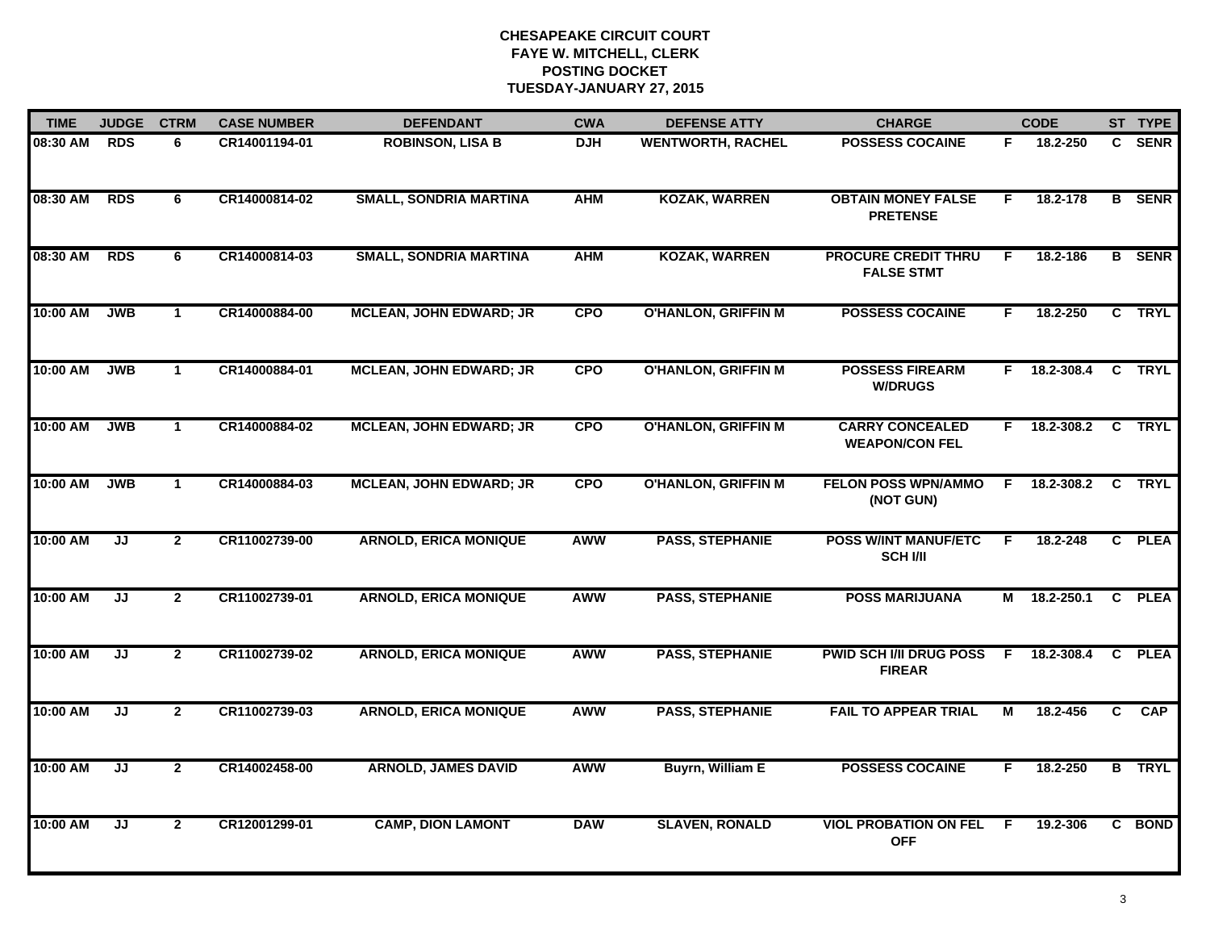| <b>TIME</b> | <b>JUDGE</b> | <b>CTRM</b>    | <b>CASE NUMBER</b> | <b>DEFENDANT</b>               | <b>CWA</b> | <b>DEFENSE ATTY</b>        | <b>CHARGE</b>                                   |    | <b>CODE</b>    |              | ST TYPE       |
|-------------|--------------|----------------|--------------------|--------------------------------|------------|----------------------------|-------------------------------------------------|----|----------------|--------------|---------------|
| 08:30 AM    | <b>RDS</b>   | 6              | CR14001194-01      | <b>ROBINSON, LISA B</b>        | <b>DJH</b> | <b>WENTWORTH, RACHEL</b>   | <b>POSSESS COCAINE</b>                          | F. | 18.2-250       |              | C SENR        |
| 08:30 AM    | <b>RDS</b>   | 6              | CR14000814-02      | <b>SMALL, SONDRIA MARTINA</b>  | <b>AHM</b> | <b>KOZAK, WARREN</b>       | <b>OBTAIN MONEY FALSE</b><br><b>PRETENSE</b>    | F  | 18.2-178       |              | <b>B</b> SENR |
| 08:30 AM    | <b>RDS</b>   | 6              | CR14000814-03      | <b>SMALL, SONDRIA MARTINA</b>  | <b>AHM</b> | <b>KOZAK, WARREN</b>       | <b>PROCURE CREDIT THRU</b><br><b>FALSE STMT</b> | F  | 18.2-186       |              | <b>B</b> SENR |
| 10:00 AM    | <b>JWB</b>   | $\mathbf{1}$   | CR14000884-00      | <b>MCLEAN, JOHN EDWARD; JR</b> | <b>CPO</b> | <b>O'HANLON, GRIFFIN M</b> | <b>POSSESS COCAINE</b>                          | F. | 18.2-250       |              | C TRYL        |
| 10:00 AM    | <b>JWB</b>   | $\mathbf{1}$   | CR14000884-01      | <b>MCLEAN, JOHN EDWARD; JR</b> | <b>CPO</b> | <b>O'HANLON, GRIFFIN M</b> | <b>POSSESS FIREARM</b><br><b>W/DRUGS</b>        |    | F 18.2-308.4   |              | C TRYL        |
| 10:00 AM    | <b>JWB</b>   | $\mathbf{1}$   | CR14000884-02      | <b>MCLEAN, JOHN EDWARD; JR</b> | <b>CPO</b> | <b>O'HANLON, GRIFFIN M</b> | <b>CARRY CONCEALED</b><br><b>WEAPON/CON FEL</b> |    | $F$ 18.2-308.2 | C            | <b>TRYL</b>   |
| 10:00 AM    | <b>JWB</b>   | $\mathbf{1}$   | CR14000884-03      | <b>MCLEAN, JOHN EDWARD; JR</b> | <b>CPO</b> | <b>O'HANLON, GRIFFIN M</b> | <b>FELON POSS WPN/AMMO</b><br>(NOT GUN)         | F. | 18.2-308.2     | C            | <b>TRYL</b>   |
| 10:00 AM    | JJ           | $\overline{2}$ | CR11002739-00      | <b>ARNOLD, ERICA MONIQUE</b>   | AWW        | <b>PASS, STEPHANIE</b>     | <b>POSS W/INT MANUF/ETC</b><br><b>SCH I/II</b>  | F  | 18.2-248       | $\mathbf{c}$ | <b>PLEA</b>   |
| 10:00 AM    | JJ           | $\mathbf{2}$   | CR11002739-01      | <b>ARNOLD, ERICA MONIQUE</b>   | <b>AWW</b> | <b>PASS, STEPHANIE</b>     | <b>POSS MARIJUANA</b>                           | м  | 18.2-250.1     | C            | <b>PLEA</b>   |
| 10:00 AM    | JJ           | $\overline{2}$ | CR11002739-02      | <b>ARNOLD, ERICA MONIQUE</b>   | AWW        | <b>PASS, STEPHANIE</b>     | <b>PWID SCH I/II DRUG POSS</b><br><b>FIREAR</b> | F  | 18.2-308.4     |              | C PLEA        |
| 10:00 AM    | JJ           | $\mathbf{2}$   | CR11002739-03      | <b>ARNOLD, ERICA MONIQUE</b>   | AWW        | <b>PASS, STEPHANIE</b>     | <b>FAIL TO APPEAR TRIAL</b>                     | M  | 18.2-456       | C            | CAP           |
| 10:00 AM    | JJ           | $\overline{2}$ | CR14002458-00      | <b>ARNOLD, JAMES DAVID</b>     | <b>AWW</b> | <b>Buyrn, William E</b>    | <b>POSSESS COCAINE</b>                          | F. | 18.2-250       |              | <b>B</b> TRYL |
| 10:00 AM    | JJ           | $\mathbf{2}$   | CR12001299-01      | <b>CAMP, DION LAMONT</b>       | <b>DAW</b> | <b>SLAVEN, RONALD</b>      | <b>VIOL PROBATION ON FEL</b><br><b>OFF</b>      | E  | 19.2-306       |              | C BOND        |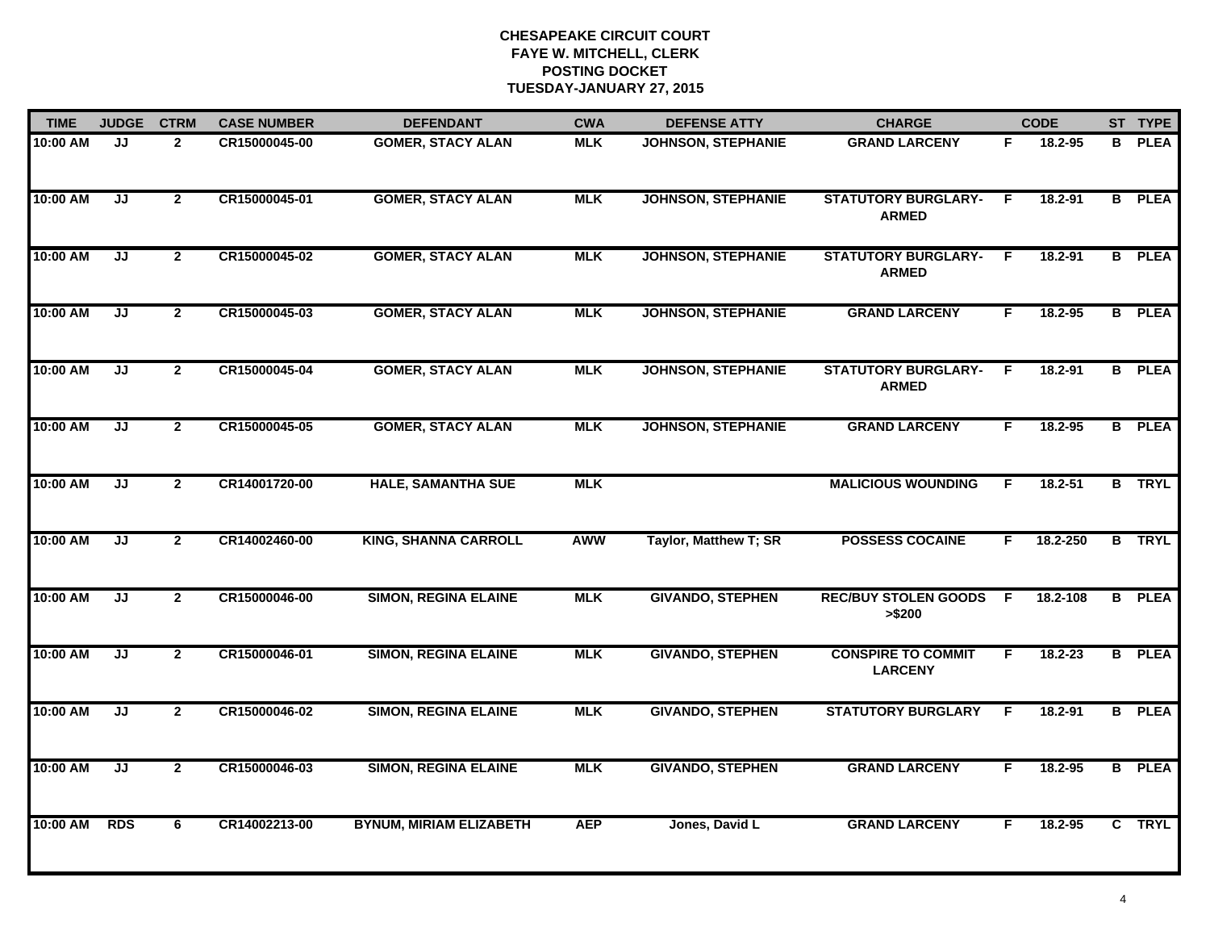| <b>TIME</b> | <b>JUDGE</b>                      | <b>CTRM</b>    | <b>CASE NUMBER</b> | <b>DEFENDANT</b>               | <b>CWA</b> | <b>DEFENSE ATTY</b>       | <b>CHARGE</b>                               |    | <b>CODE</b> |  | ST TYPE       |
|-------------|-----------------------------------|----------------|--------------------|--------------------------------|------------|---------------------------|---------------------------------------------|----|-------------|--|---------------|
| 10:00 AM    | JJ                                | $\overline{2}$ | CR15000045-00      | <b>GOMER, STACY ALAN</b>       | <b>MLK</b> | <b>JOHNSON, STEPHANIE</b> | <b>GRAND LARCENY</b>                        | F. | 18.2-95     |  | <b>B</b> PLEA |
| 10:00 AM    | JJ                                | $\overline{2}$ | CR15000045-01      | <b>GOMER, STACY ALAN</b>       | <b>MLK</b> | <b>JOHNSON, STEPHANIE</b> | <b>STATUTORY BURGLARY-</b><br><b>ARMED</b>  | -F | 18.2-91     |  | <b>B</b> PLEA |
| 10:00 AM    | JJ                                | $\overline{2}$ | CR15000045-02      | <b>GOMER, STACY ALAN</b>       | <b>MLK</b> | <b>JOHNSON, STEPHANIE</b> | <b>STATUTORY BURGLARY-</b><br><b>ARMED</b>  | F. | 18.2-91     |  | <b>B</b> PLEA |
| 10:00 AM    | JJ                                | $\overline{2}$ | CR15000045-03      | <b>GOMER, STACY ALAN</b>       | <b>MLK</b> | <b>JOHNSON, STEPHANIE</b> | <b>GRAND LARCENY</b>                        | F. | $18.2 - 95$ |  | <b>B</b> PLEA |
| 10:00 AM    | JJ                                | $\mathbf{2}$   | CR15000045-04      | <b>GOMER, STACY ALAN</b>       | <b>MLK</b> | <b>JOHNSON, STEPHANIE</b> | <b>STATUTORY BURGLARY-</b><br><b>ARMED</b>  | F. | 18.2-91     |  | <b>B</b> PLEA |
| 10:00 AM    | JJ                                | $\mathbf{2}$   | CR15000045-05      | <b>GOMER, STACY ALAN</b>       | <b>MLK</b> | <b>JOHNSON, STEPHANIE</b> | <b>GRAND LARCENY</b>                        | F. | 18.2-95     |  | <b>B</b> PLEA |
| 10:00 AM    | JJ                                | $\overline{2}$ | CR14001720-00      | <b>HALE, SAMANTHA SUE</b>      | <b>MLK</b> |                           | <b>MALICIOUS WOUNDING</b>                   | F. | $18.2 - 51$ |  | <b>B</b> TRYL |
| 10:00 AM    | $\overline{\mathsf{J}\mathsf{J}}$ | $\overline{2}$ | CR14002460-00      | <b>KING, SHANNA CARROLL</b>    | <b>AWW</b> | Taylor, Matthew T; SR     | <b>POSSESS COCAINE</b>                      | F  | 18.2-250    |  | <b>B</b> TRYL |
| 10:00 AM    | $\overline{\mathsf{J}\mathsf{J}}$ | $\overline{2}$ | CR15000046-00      | <b>SIMON, REGINA ELAINE</b>    | <b>MLK</b> | <b>GIVANDO, STEPHEN</b>   | <b>REC/BUY STOLEN GOODS</b><br>> \$200      | F. | 18.2-108    |  | <b>B</b> PLEA |
| 10:00 AM    | JJ                                | $\mathbf{2}$   | CR15000046-01      | <b>SIMON, REGINA ELAINE</b>    | <b>MLK</b> | <b>GIVANDO, STEPHEN</b>   | <b>CONSPIRE TO COMMIT</b><br><b>LARCENY</b> | F. | $18.2 - 23$ |  | <b>B</b> PLEA |
| 10:00 AM    | JJ                                | $\overline{2}$ | CR15000046-02      | <b>SIMON, REGINA ELAINE</b>    | <b>MLK</b> | <b>GIVANDO, STEPHEN</b>   | <b>STATUTORY BURGLARY</b>                   | F  | 18.2-91     |  | <b>B</b> PLEA |
| 10:00 AM    | $\overline{\mathsf{J}\mathsf{J}}$ | $\overline{2}$ | CR15000046-03      | <b>SIMON, REGINA ELAINE</b>    | <b>MLK</b> | <b>GIVANDO, STEPHEN</b>   | <b>GRAND LARCENY</b>                        | F. | 18.2-95     |  | <b>B</b> PLEA |
| 10:00 AM    | <b>RDS</b>                        | 6              | CR14002213-00      | <b>BYNUM, MIRIAM ELIZABETH</b> | <b>AEP</b> | Jones, David L            | <b>GRAND LARCENY</b>                        | F  | 18.2-95     |  | C TRYL        |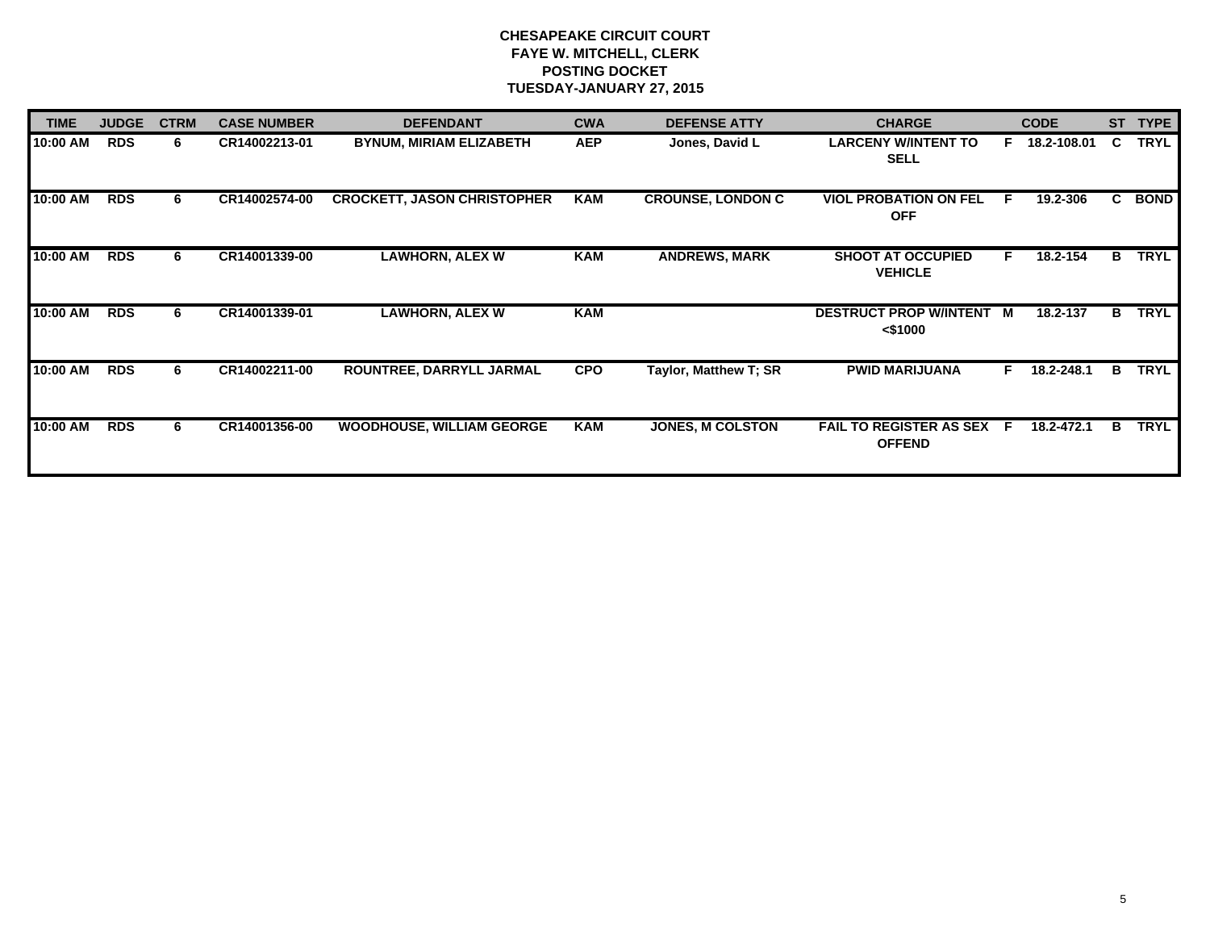| <b>TIME</b> | <b>JUDGE</b> | <b>CTRM</b> | <b>CASE NUMBER</b> | <b>DEFENDANT</b>                   | <b>CWA</b> | <b>DEFENSE ATTY</b>      | <b>CHARGE</b>                                   |                   |            |    | <b>CODE</b> | <b>ST</b> | <b>TYPE</b> |
|-------------|--------------|-------------|--------------------|------------------------------------|------------|--------------------------|-------------------------------------------------|-------------------|------------|----|-------------|-----------|-------------|
| 10:00 AM    | <b>RDS</b>   | 6.          | CR14002213-01      | <b>BYNUM, MIRIAM ELIZABETH</b>     | <b>AEP</b> | Jones, David L           | <b>LARCENY W/INTENT TO</b><br><b>SELL</b>       | F.<br>18.2-108.01 |            | C. | <b>TRYL</b> |           |             |
| 10:00 AM    | <b>RDS</b>   | 6           | CR14002574-00      | <b>CROCKETT, JASON CHRISTOPHER</b> | <b>KAM</b> | <b>CROUNSE, LONDON C</b> | <b>VIOL PROBATION ON FEL</b><br><b>OFF</b>      | F.                | 19.2-306   | C. | <b>BOND</b> |           |             |
| 10:00 AM    | RDS          | 6.          | CR14001339-00      | <b>LAWHORN, ALEX W</b>             | <b>KAM</b> | <b>ANDREWS, MARK</b>     | <b>SHOOT AT OCCUPIED</b><br><b>VEHICLE</b>      | F.                | 18.2-154   | B  | <b>TRYL</b> |           |             |
| 10:00 AM    | <b>RDS</b>   | 6           | CR14001339-01      | <b>LAWHORN, ALEX W</b>             | <b>KAM</b> |                          | DESTRUCT PROP W/INTENT M<br>$<$ \$1000          |                   | 18.2-137   | B  | <b>TRYL</b> |           |             |
| 10:00 AM    | <b>RDS</b>   | 6           | CR14002211-00      | ROUNTREE, DARRYLL JARMAL           | <b>CPO</b> | Taylor, Matthew T; SR    | <b>PWID MARIJUANA</b>                           | F.                | 18.2-248.1 | в  | <b>TRYL</b> |           |             |
| 10:00 AM    | <b>RDS</b>   | 6.          | CR14001356-00      | <b>WOODHOUSE, WILLIAM GEORGE</b>   | <b>KAM</b> | <b>JONES, M COLSTON</b>  | <b>FAIL TO REGISTER AS SEX</b><br><b>OFFEND</b> | - F               | 18.2-472.1 | B. | TRYL        |           |             |